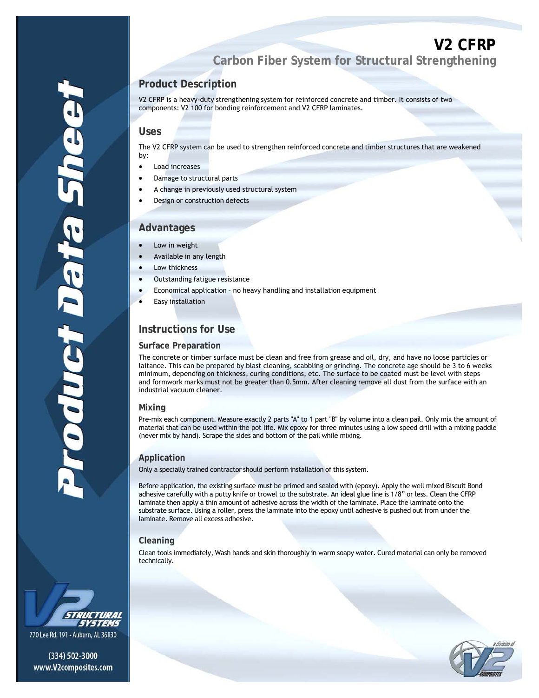# **V2 CFRP Carbon Fiber System for Structural Strengthening**

# **Product Description**

V2 CFRP is a heavy-duty strengthening system for reinforced concrete and timber. It consists of two components: V2 100 for bonding reinforcement and V2 CFRP laminates.

### **Uses**

a

The V2 CFRP system can be used to strengthen reinforced concrete and timber structures that are weakened by:

- Load increases
- Damage to structural parts
- A change in previously used structural system
- Design or construction defects

## **Advantages**

- Low in weight
- Available in any length
- Low thickness
- Outstanding fatigue resistance
- Economical application no heavy handling and installation equipment
- Easy installation

# **Instructions for Use**

#### **Surface Preparation**

The concrete or timber surface must be clean and free from grease and oil, dry, and have no loose particles or laitance. This can be prepared by blast cleaning, scabbling or grinding. The concrete age should be 3 to 6 weeks minimum, depending on thickness, curing conditions, etc. The surface to be coated must be level with steps and formwork marks must not be greater than 0.5mm. After cleaning remove all dust from the surface with an industrial vacuum cleaner.

#### **Mixing**

Pre-mix each component. Measure exactly 2 parts "A" to 1 part "B" by volume into a clean pail. Only mix the amount of material that can be used within the pot life. Mix epoxy for three minutes using a low speed drill with a mixing paddle (never mix by hand). Scrape the sides and bottom of the pail while mixing.

#### **Application**

Only a specially trained contractor should perform installation of this system.

Before application, the existing surface must be primed and sealed with (epoxy). Apply the well mixed Biscuit Bond adhesive carefully with a putty knife or trowel to the substrate. An ideal glue line is 1/8" or less. Clean the CFRP laminate then apply a thin amount of adhesive across the width of the laminate. Place the laminate onto the substrate surface. Using a roller, press the laminate into the epoxy until adhesive is pushed out from under the laminate. Remove all excess adhesive.

#### **Cleaning**

Clean tools immediately, Wash hands and skin thoroughly in warm soapy water. Cured material can only be removed technically.



oduc

770 Lee Rd. 191 - Auburn, AL 36830

(334) 502-3000 www.V2composites.com